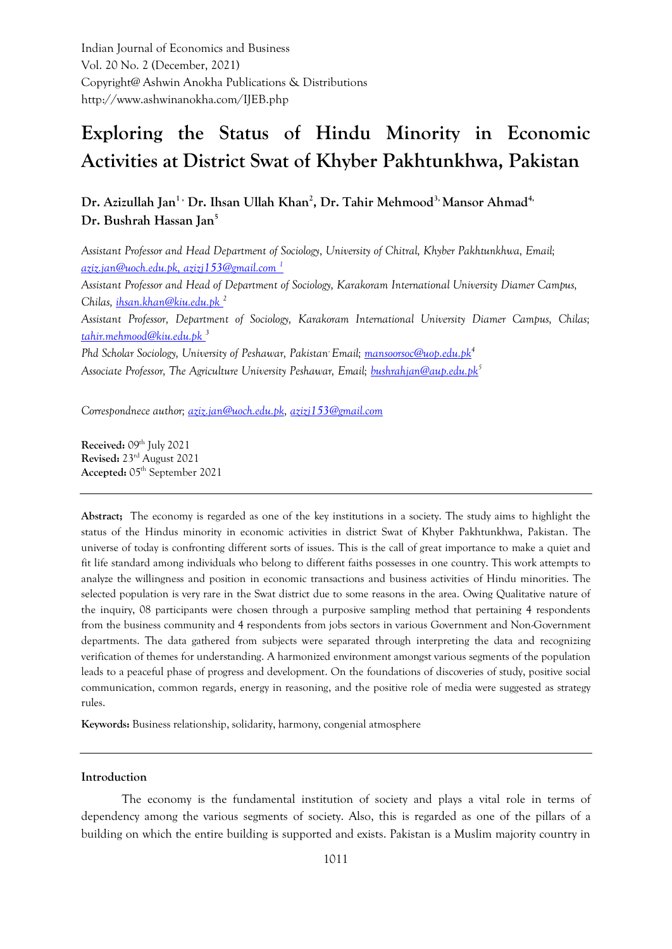Indian Journal of Economics and Business Vol. 20 No. 2 (December, 2021) Copyright@ Ashwin Anokha Publications & Distributions http://www.ashwinanokha.com/IJEB.php

# **Exploring the Status of Hindu Minority in Economic Activities at District Swat of Khyber Pakhtunkhwa, Pakistan**

**Dr. Azizullah Jan1 , Dr. Ihsan Ullah Khan<sup>2</sup> , Dr. Tahir Mehmood3, Mansor Ahmad4, Dr. Bushrah Hassan Jan<sup>5</sup>**

*Assistant Professor and Head Department of Sociology, University of Chitral, Khyber Pakhtunkhwa, Email; [aziz.jan@uoch.edu.pk,](mailto:aziz.jan@uoch.edu.pk) [azizj153@gmail.com](mailto:azizj153@gmail.com) <sup>1</sup> Assistant Professor and Head of Department of Sociology, Karakoram International University Diamer Campus, Chilas, [ihsan.khan@kiu.edu.pk](mailto:ihsan.khan@kiu.edu.pk) <sup>2</sup> Assistant Professor, Department of Sociology, Karakoram International University Diamer Campus, Chilas; [tahir.mehmood@kiu.edu.pk](mailto:tahir.mehmood@kiu.edu.pk) <sup>3</sup> Phd Scholar Sociology, University of Peshawar, Pakistan,Email; [mansoorsoc@uop.edu.pk](mailto:mansoorsoc@uop.edu.pk)<sup>4</sup> Associate Professor, The Agriculture University Peshawar, Email; [bushrahjan@aup.edu.pk](mailto:bushrahjan@aup.edu.pk)<sup>5</sup>*

*Correspondnece author; [aziz.jan@uoch.edu.pk,](mailto:aziz.jan@uoch.edu.pk) [azizj153@gmail.com](mailto:azizj153@gmail.com)*

**Received:** 09<sup>th</sup> July 2021 **Revised:** 23rd August 2021 **Accepted:** 05th September 2021

**Abstract;** The economy is regarded as one of the key institutions in a society. The study aims to highlight the status of the Hindus minority in economic activities in district Swat of Khyber Pakhtunkhwa, Pakistan. The universe of today is confronting different sorts of issues. This is the call of great importance to make a quiet and fit life standard among individuals who belong to different faiths possesses in one country. This work attempts to analyze the willingness and position in economic transactions and business activities of Hindu minorities. The selected population is very rare in the Swat district due to some reasons in the area. Owing Qualitative nature of the inquiry, 08 participants were chosen through a purposive sampling method that pertaining 4 respondents from the business community and 4 respondents from jobs sectors in various Government and Non-Government departments. The data gathered from subjects were separated through interpreting the data and recognizing verification of themes for understanding. A harmonized environment amongst various segments of the population leads to a peaceful phase of progress and development. On the foundations of discoveries of study, positive social communication, common regards, energy in reasoning, and the positive role of media were suggested as strategy rules.

**Keywords:** Business relationship, solidarity, harmony, congenial atmosphere

#### **Introduction**

The economy is the fundamental institution of society and plays a vital role in terms of dependency among the various segments of society. Also, this is regarded as one of the pillars of a building on which the entire building is supported and exists. Pakistan is a Muslim majority country in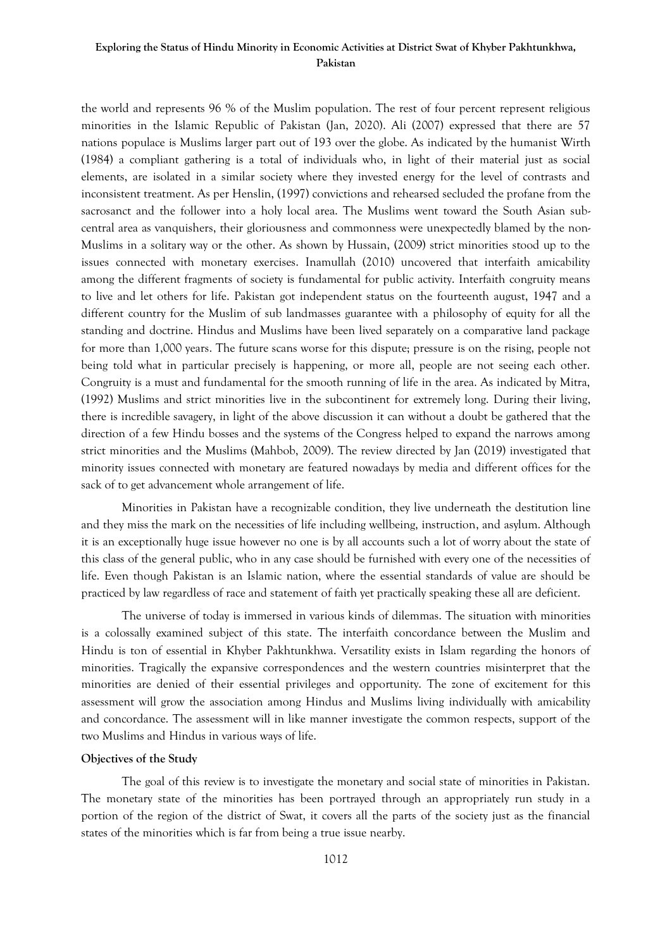# **Exploring the Status of Hindu Minority in Economic Activities at District Swat of Khyber Pakhtunkhwa, Pakistan**

the world and represents 96 % of the Muslim population. The rest of four percent represent religious minorities in the Islamic Republic of Pakistan (Jan, 2020). Ali (2007) expressed that there are 57 nations populace is Muslims larger part out of 193 over the globe. As indicated by the humanist Wirth (1984) a compliant gathering is a total of individuals who, in light of their material just as social elements, are isolated in a similar society where they invested energy for the level of contrasts and inconsistent treatment. As per Henslin, (1997) convictions and rehearsed secluded the profane from the sacrosanct and the follower into a holy local area. The Muslims went toward the South Asian subcentral area as vanquishers, their gloriousness and commonness were unexpectedly blamed by the non-Muslims in a solitary way or the other. As shown by Hussain, (2009) strict minorities stood up to the issues connected with monetary exercises. Inamullah (2010) uncovered that interfaith amicability among the different fragments of society is fundamental for public activity. Interfaith congruity means to live and let others for life. Pakistan got independent status on the fourteenth august, 1947 and a different country for the Muslim of sub landmasses guarantee with a philosophy of equity for all the standing and doctrine. Hindus and Muslims have been lived separately on a comparative land package for more than 1,000 years. The future scans worse for this dispute; pressure is on the rising, people not being told what in particular precisely is happening, or more all, people are not seeing each other. Congruity is a must and fundamental for the smooth running of life in the area. As indicated by Mitra, (1992) Muslims and strict minorities live in the subcontinent for extremely long. During their living, there is incredible savagery, in light of the above discussion it can without a doubt be gathered that the direction of a few Hindu bosses and the systems of the Congress helped to expand the narrows among strict minorities and the Muslims (Mahbob, 2009). The review directed by Jan (2019) investigated that minority issues connected with monetary are featured nowadays by media and different offices for the sack of to get advancement whole arrangement of life.

Minorities in Pakistan have a recognizable condition, they live underneath the destitution line and they miss the mark on the necessities of life including wellbeing, instruction, and asylum. Although it is an exceptionally huge issue however no one is by all accounts such a lot of worry about the state of this class of the general public, who in any case should be furnished with every one of the necessities of life. Even though Pakistan is an Islamic nation, where the essential standards of value are should be practiced by law regardless of race and statement of faith yet practically speaking these all are deficient.

The universe of today is immersed in various kinds of dilemmas. The situation with minorities is a colossally examined subject of this state. The interfaith concordance between the Muslim and Hindu is ton of essential in Khyber Pakhtunkhwa. Versatility exists in Islam regarding the honors of minorities. Tragically the expansive correspondences and the western countries misinterpret that the minorities are denied of their essential privileges and opportunity. The zone of excitement for this assessment will grow the association among Hindus and Muslims living individually with amicability and concordance. The assessment will in like manner investigate the common respects, support of the two Muslims and Hindus in various ways of life.

## **Objectives of the Study**

The goal of this review is to investigate the monetary and social state of minorities in Pakistan. The monetary state of the minorities has been portrayed through an appropriately run study in a portion of the region of the district of Swat, it covers all the parts of the society just as the financial states of the minorities which is far from being a true issue nearby.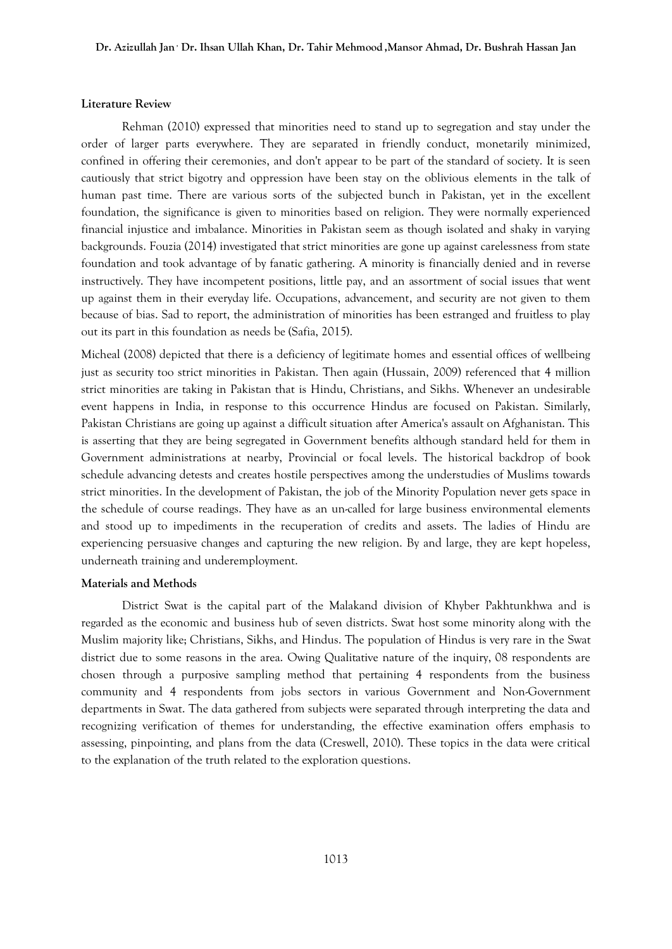#### **Literature Review**

Rehman (2010) expressed that minorities need to stand up to segregation and stay under the order of larger parts everywhere. They are separated in friendly conduct, monetarily minimized, confined in offering their ceremonies, and don't appear to be part of the standard of society. It is seen cautiously that strict bigotry and oppression have been stay on the oblivious elements in the talk of human past time. There are various sorts of the subjected bunch in Pakistan, yet in the excellent foundation, the significance is given to minorities based on religion. They were normally experienced financial injustice and imbalance. Minorities in Pakistan seem as though isolated and shaky in varying backgrounds. Fouzia (2014) investigated that strict minorities are gone up against carelessness from state foundation and took advantage of by fanatic gathering. A minority is financially denied and in reverse instructively. They have incompetent positions, little pay, and an assortment of social issues that went up against them in their everyday life. Occupations, advancement, and security are not given to them because of bias. Sad to report, the administration of minorities has been estranged and fruitless to play out its part in this foundation as needs be (Safia, 2015).

Micheal (2008) depicted that there is a deficiency of legitimate homes and essential offices of wellbeing just as security too strict minorities in Pakistan. Then again (Hussain, 2009) referenced that 4 million strict minorities are taking in Pakistan that is Hindu, Christians, and Sikhs. Whenever an undesirable event happens in India, in response to this occurrence Hindus are focused on Pakistan. Similarly, Pakistan Christians are going up against a difficult situation after America's assault on Afghanistan. This is asserting that they are being segregated in Government benefits although standard held for them in Government administrations at nearby, Provincial or focal levels. The historical backdrop of book schedule advancing detests and creates hostile perspectives among the understudies of Muslims towards strict minorities. In the development of Pakistan, the job of the Minority Population never gets space in the schedule of course readings. They have as an un-called for large business environmental elements and stood up to impediments in the recuperation of credits and assets. The ladies of Hindu are experiencing persuasive changes and capturing the new religion. By and large, they are kept hopeless, underneath training and underemployment.

#### **Materials and Methods**

District Swat is the capital part of the Malakand division of Khyber Pakhtunkhwa and is regarded as the economic and business hub of seven districts. Swat host some minority along with the Muslim majority like; Christians, Sikhs, and Hindus. The population of Hindus is very rare in the Swat district due to some reasons in the area. Owing Qualitative nature of the inquiry, 08 respondents are chosen through a purposive sampling method that pertaining 4 respondents from the business community and 4 respondents from jobs sectors in various Government and Non-Government departments in Swat. The data gathered from subjects were separated through interpreting the data and recognizing verification of themes for understanding, the effective examination offers emphasis to assessing, pinpointing, and plans from the data (Creswell, 2010). These topics in the data were critical to the explanation of the truth related to the exploration questions.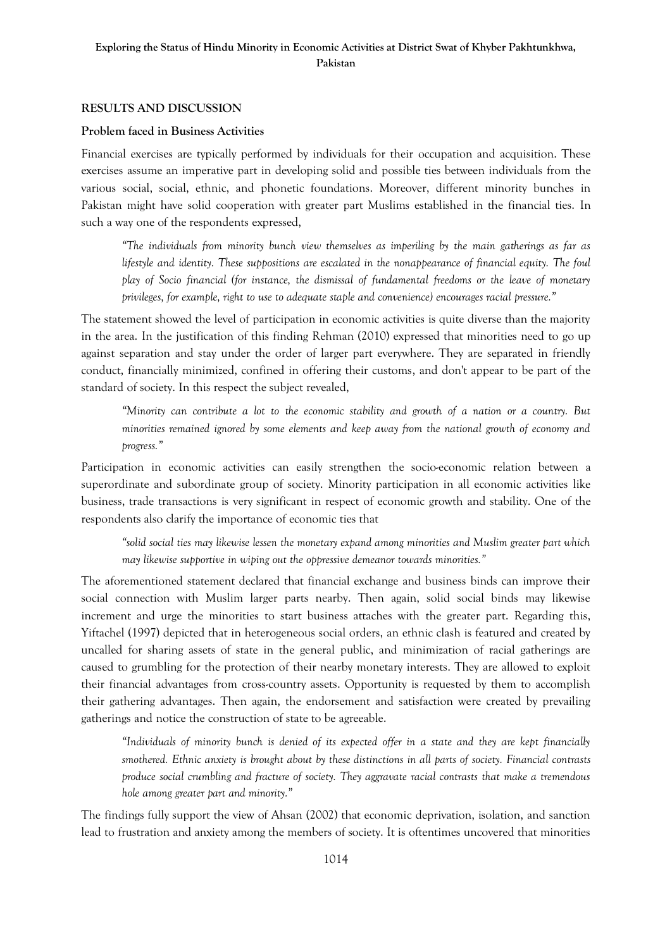# **Exploring the Status of Hindu Minority in Economic Activities at District Swat of Khyber Pakhtunkhwa, Pakistan**

## **RESULTS AND DISCUSSION**

#### **Problem faced in Business Activities**

Financial exercises are typically performed by individuals for their occupation and acquisition. These exercises assume an imperative part in developing solid and possible ties between individuals from the various social, social, ethnic, and phonetic foundations. Moreover, different minority bunches in Pakistan might have solid cooperation with greater part Muslims established in the financial ties. In such a way one of the respondents expressed,

*"The individuals from minority bunch view themselves as imperiling by the main gatherings as far as lifestyle and identity. These suppositions are escalated in the nonappearance of financial equity. The foul play of Socio financial (for instance, the dismissal of fundamental freedoms or the leave of monetary privileges, for example, right to use to adequate staple and convenience) encourages racial pressure."*

The statement showed the level of participation in economic activities is quite diverse than the majority in the area. In the justification of this finding Rehman (2010) expressed that minorities need to go up against separation and stay under the order of larger part everywhere. They are separated in friendly conduct, financially minimized, confined in offering their customs, and don't appear to be part of the standard of society. In this respect the subject revealed,

*"Minority can contribute a lot to the economic stability and growth of a nation or a country. But minorities remained ignored by some elements and keep away from the national growth of economy and progress."*

Participation in economic activities can easily strengthen the socio-economic relation between a superordinate and subordinate group of society. Minority participation in all economic activities like business, trade transactions is very significant in respect of economic growth and stability. One of the respondents also clarify the importance of economic ties that

*"solid social ties may likewise lessen the monetary expand among minorities and Muslim greater part which may likewise supportive in wiping out the oppressive demeanor towards minorities."*

The aforementioned statement declared that financial exchange and business binds can improve their social connection with Muslim larger parts nearby. Then again, solid social binds may likewise increment and urge the minorities to start business attaches with the greater part. Regarding this, Yiftachel (1997) depicted that in heterogeneous social orders, an ethnic clash is featured and created by uncalled for sharing assets of state in the general public, and minimization of racial gatherings are caused to grumbling for the protection of their nearby monetary interests. They are allowed to exploit their financial advantages from cross-country assets. Opportunity is requested by them to accomplish their gathering advantages. Then again, the endorsement and satisfaction were created by prevailing gatherings and notice the construction of state to be agreeable.

*"Individuals of minority bunch is denied of its expected offer in a state and they are kept financially smothered. Ethnic anxiety is brought about by these distinctions in all parts of society. Financial contrasts produce social crumbling and fracture of society. They aggravate racial contrasts that make a tremendous hole among greater part and minority."*

The findings fully support the view of Ahsan (2002) that economic deprivation, isolation, and sanction lead to frustration and anxiety among the members of society. It is oftentimes uncovered that minorities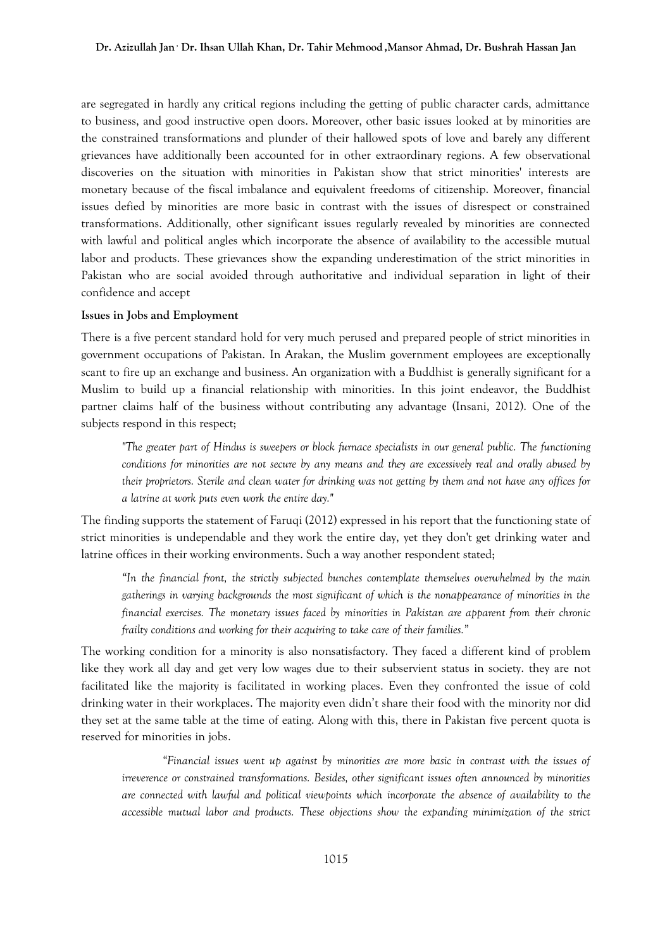are segregated in hardly any critical regions including the getting of public character cards, admittance to business, and good instructive open doors. Moreover, other basic issues looked at by minorities are the constrained transformations and plunder of their hallowed spots of love and barely any different grievances have additionally been accounted for in other extraordinary regions. A few observational discoveries on the situation with minorities in Pakistan show that strict minorities' interests are monetary because of the fiscal imbalance and equivalent freedoms of citizenship. Moreover, financial issues defied by minorities are more basic in contrast with the issues of disrespect or constrained transformations. Additionally, other significant issues regularly revealed by minorities are connected with lawful and political angles which incorporate the absence of availability to the accessible mutual labor and products. These grievances show the expanding underestimation of the strict minorities in Pakistan who are social avoided through authoritative and individual separation in light of their confidence and accept

#### **Issues in Jobs and Employment**

There is a five percent standard hold for very much perused and prepared people of strict minorities in government occupations of Pakistan. In Arakan, the Muslim government employees are exceptionally scant to fire up an exchange and business. An organization with a Buddhist is generally significant for a Muslim to build up a financial relationship with minorities. In this joint endeavor, the Buddhist partner claims half of the business without contributing any advantage (Insani, 2012). One of the subjects respond in this respect;

*"The greater part of Hindus is sweepers or block furnace specialists in our general public. The functioning conditions for minorities are not secure by any means and they are excessively real and orally abused by their proprietors. Sterile and clean water for drinking was not getting by them and not have any offices for a latrine at work puts even work the entire day."*

The finding supports the statement of Faruqi (2012) expressed in his report that the functioning state of strict minorities is undependable and they work the entire day, yet they don't get drinking water and latrine offices in their working environments. Such a way another respondent stated;

*"In the financial front, the strictly subjected bunches contemplate themselves overwhelmed by the main gatherings in varying backgrounds the most significant of which is the nonappearance of minorities in the financial exercises. The monetary issues faced by minorities in Pakistan are apparent from their chronic frailty conditions and working for their acquiring to take care of their families."*

The working condition for a minority is also nonsatisfactory. They faced a different kind of problem like they work all day and get very low wages due to their subservient status in society. they are not facilitated like the majority is facilitated in working places. Even they confronted the issue of cold drinking water in their workplaces. The majority even didn't share their food with the minority nor did they set at the same table at the time of eating. Along with this, there in Pakistan five percent quota is reserved for minorities in jobs.

*"Financial issues went up against by minorities are more basic in contrast with the issues of irreverence or constrained transformations. Besides, other significant issues often announced by minorities are connected with lawful and political viewpoints which incorporate the absence of availability to the accessible mutual labor and products. These objections show the expanding minimization of the strict*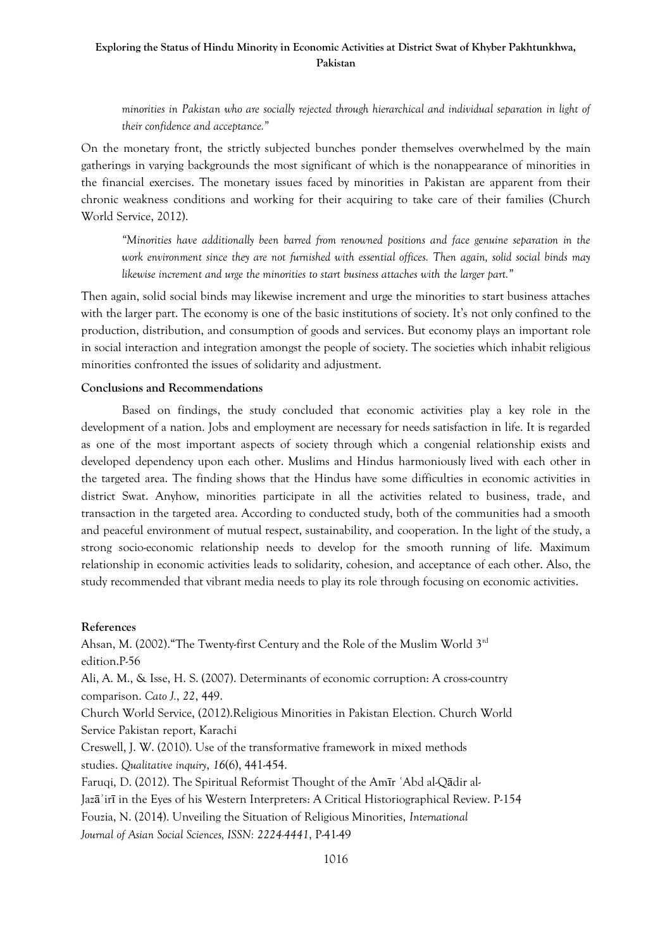# **Exploring the Status of Hindu Minority in Economic Activities at District Swat of Khyber Pakhtunkhwa, Pakistan**

*minorities in Pakistan who are socially rejected through hierarchical and individual separation in light of their confidence and acceptance."*

On the monetary front, the strictly subjected bunches ponder themselves overwhelmed by the main gatherings in varying backgrounds the most significant of which is the nonappearance of minorities in the financial exercises. The monetary issues faced by minorities in Pakistan are apparent from their chronic weakness conditions and working for their acquiring to take care of their families (Church World Service, 2012).

*"Minorities have additionally been barred from renowned positions and face genuine separation in the work environment since they are not furnished with essential offices. Then again, solid social binds may likewise increment and urge the minorities to start business attaches with the larger part.*"

Then again, solid social binds may likewise increment and urge the minorities to start business attaches with the larger part. The economy is one of the basic institutions of society. It's not only confined to the production, distribution, and consumption of goods and services. But economy plays an important role in social interaction and integration amongst the people of society. The societies which inhabit religious minorities confronted the issues of solidarity and adjustment.

## **Conclusions and Recommendations**

Based on findings, the study concluded that economic activities play a key role in the development of a nation. Jobs and employment are necessary for needs satisfaction in life. It is regarded as one of the most important aspects of society through which a congenial relationship exists and developed dependency upon each other. Muslims and Hindus harmoniously lived with each other in the targeted area. The finding shows that the Hindus have some difficulties in economic activities in district Swat. Anyhow, minorities participate in all the activities related to business, trade, and transaction in the targeted area. According to conducted study, both of the communities had a smooth and peaceful environment of mutual respect, sustainability, and cooperation. In the light of the study, a strong socio-economic relationship needs to develop for the smooth running of life. Maximum relationship in economic activities leads to solidarity, cohesion, and acceptance of each other. Also, the study recommended that vibrant media needs to play its role through focusing on economic activities.

#### **References**

Ahsan, M. (2002)."The Twenty-first Century and the Role of the Muslim World 3rd edition.P-56 Ali, A. M., & Isse, H. S. (2007). Determinants of economic corruption: A cross-country comparison. *Cato J.*, *22*, 449. Church World Service, (2012).Religious Minorities in Pakistan Election. Church World Service Pakistan report, Karachi Creswell, J. W. (2010). Use of the transformative framework in mixed methods studies. *Qualitative inquiry*, *16*(6), 441-454. Faruqi, D. (2012). The Spiritual Reformist Thought of the Amīr ʿAbd al-Qādir al-Jazāʾirī in the Eyes of his Western Interpreters: A Critical Historiographical Review. P-154 Fouzia, N. (2014). Unveiling the Situation of Religious Minorities, *International Journal of Asian Social Sciences, ISSN: 2224-4441*, P-41-49